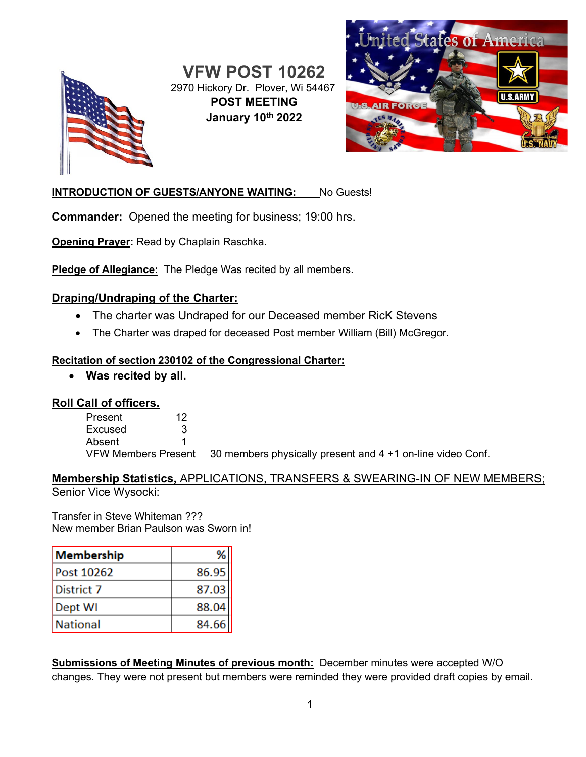

**VFW POST 10262** 2970 Hickory Dr. Plover, Wi 54467 **POST MEETING January 10th 2022**



### **INTRODUCTION OF GUESTS/ANYONE WAITING:** No Guests!

**Commander:** Opened the meeting for business; 19:00 hrs.

**Opening Prayer:** Read by Chaplain Raschka.

**Pledge of Allegiance:** The Pledge Was recited by all members.

### **Draping/Undraping of the Charter:**

- The charter was Undraped for our Deceased member RicK Stevens
- The Charter was draped for deceased Post member William (Bill) McGregor.

#### **Recitation of section 230102 of the Congressional Charter:**

• **Was recited by all.**

### **Roll Call of officers.**

Present 12 Excused 3 Absent 1 VFW Members Present 30 members physically present and 4 +1 on-line video Conf.

### **Membership Statistics,** APPLICATIONS, TRANSFERS & SWEARING-IN OF NEW MEMBERS; Senior Vice Wysocki:

Transfer in Steve Whiteman ??? New member Brian Paulson was Sworn in!

| Membership        |       |
|-------------------|-------|
| <b>Post 10262</b> | 86.95 |
| District 7        | 87.03 |
| Dept WI           | 88.04 |
| <b>National</b>   | 84.66 |

**Submissions of Meeting Minutes of previous month:** December minutes were accepted W/O changes. They were not present but members were reminded they were provided draft copies by email.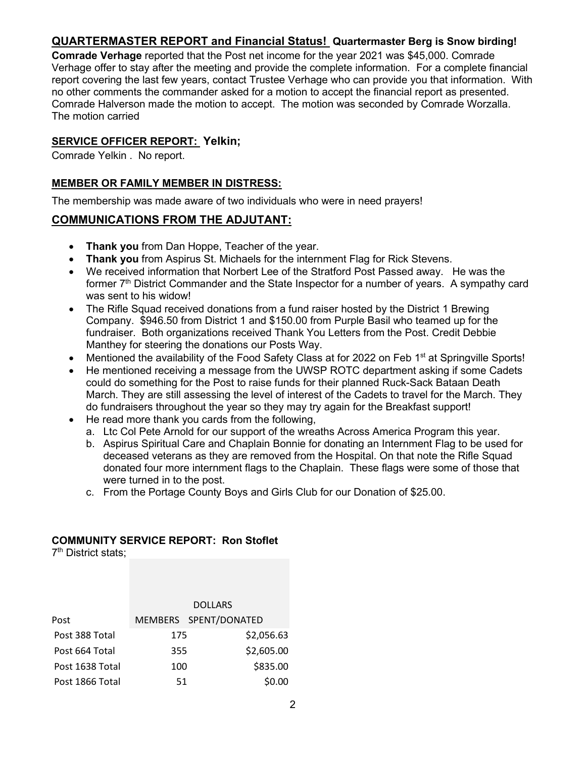## **QUARTERMASTER REPORT and Financial Status! Quartermaster Berg is Snow birding!**

**Comrade Verhage** reported that the Post net income for the year 2021 was \$45,000. Comrade Verhage offer to stay after the meeting and provide the complete information. For a complete financial report covering the last few years, contact Trustee Verhage who can provide you that information. With no other comments the commander asked for a motion to accept the financial report as presented. Comrade Halverson made the motion to accept. The motion was seconded by Comrade Worzalla. The motion carried

#### **SERVICE OFFICER REPORT: Yelkin;**

Comrade Yelkin . No report.

#### **MEMBER OR FAMILY MEMBER IN DISTRESS:**

The membership was made aware of two individuals who were in need prayers!

### **COMMUNICATIONS FROM THE ADJUTANT:**

- **Thank you** from Dan Hoppe, Teacher of the year.
- **Thank you** from Aspirus St. Michaels for the internment Flag for Rick Stevens.
- We received information that Norbert Lee of the Stratford Post Passed away. He was the former 7<sup>th</sup> District Commander and the State Inspector for a number of years. A sympathy card was sent to his widow!
- The Rifle Squad received donations from a fund raiser hosted by the District 1 Brewing Company. \$946.50 from District 1 and \$150.00 from Purple Basil who teamed up for the fundraiser. Both organizations received Thank You Letters from the Post. Credit Debbie Manthey for steering the donations our Posts Way.
- Mentioned the availability of the Food Safety Class at for 2022 on Feb 1<sup>st</sup> at Springville Sports!
- He mentioned receiving a message from the UWSP ROTC department asking if some Cadets could do something for the Post to raise funds for their planned Ruck-Sack Bataan Death March. They are still assessing the level of interest of the Cadets to travel for the March. They do fundraisers throughout the year so they may try again for the Breakfast support!
- He read more thank you cards from the following,
	- a. Ltc Col Pete Arnold for our support of the wreaths Across America Program this year.
	- b. Aspirus Spiritual Care and Chaplain Bonnie for donating an Internment Flag to be used for deceased veterans as they are removed from the Hospital. On that note the Rifle Squad donated four more internment flags to the Chaplain. These flags were some of those that were turned in to the post.
	- c. From the Portage County Boys and Girls Club for our Donation of \$25.00.

#### **COMMUNITY SERVICE REPORT: Ron Stoflet**

7<sup>th</sup> District stats:

|                 | <b>DOLLARS</b> |                       |            |
|-----------------|----------------|-----------------------|------------|
| Post            |                | MEMBERS SPENT/DONATED |            |
| Post 388 Total  | 175            |                       | \$2,056.63 |
| Post 664 Total  | 355            |                       | \$2,605.00 |
| Post 1638 Total | 100            |                       | \$835.00   |
| Post 1866 Total | 51             |                       | \$0.00     |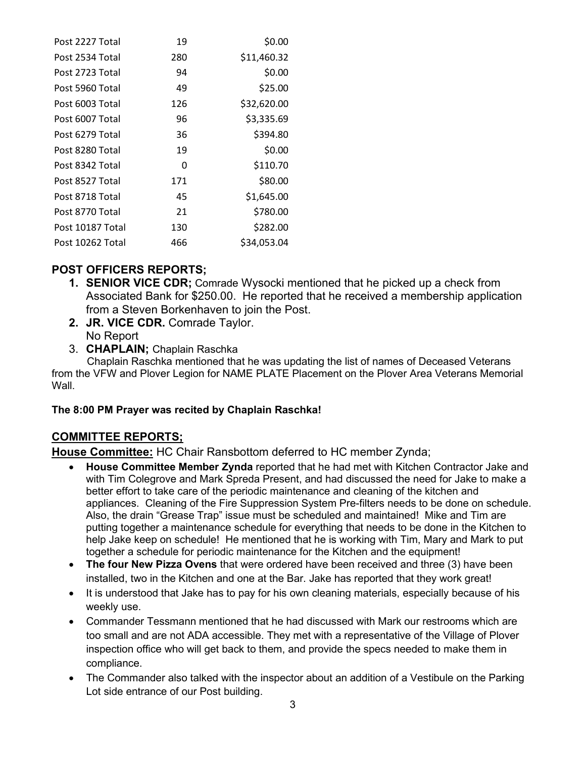| Post 2227 Total  | 19  | \$0.00      |
|------------------|-----|-------------|
| Post 2534 Total  | 280 | \$11,460.32 |
| Post 2723 Total  | 94  | \$0.00      |
| Post 5960 Total  | 49  | \$25.00     |
| Post 6003 Total  | 126 | \$32,620.00 |
| Post 6007 Total  | 96  | \$3,335.69  |
| Post 6279 Total  | 36  | \$394.80    |
| Post 8280 Total  | 19  | \$0.00      |
| Post 8342 Total  | 0   | \$110.70    |
| Post 8527 Total  | 171 | \$80.00     |
| Post 8718 Total  | 45  | \$1,645.00  |
| Post 8770 Total  | 21  | \$780.00    |
| Post 10187 Total | 130 | \$282.00    |
| Post 10262 Total | 466 | \$34,053.04 |

### **POST OFFICERS REPORTS;**

- **1. SENIOR VICE CDR;** Comrade Wysocki mentioned that he picked up a check from Associated Bank for \$250.00.He reported that he received a membership application from a Steven Borkenhaven to join the Post.
- **2. JR. VICE CDR.** Comrade Taylor. No Report
- 3. **CHAPLAIN;** Chaplain Raschka

 Chaplain Raschka mentioned that he was updating the list of names of Deceased Veterans from the VFW and Plover Legion for NAME PLATE Placement on the Plover Area Veterans Memorial Wall.

### **The 8:00 PM Prayer was recited by Chaplain Raschka!**

### **COMMITTEE REPORTS;**

**House Committee:** HC Chair Ransbottom deferred to HC member Zynda;

- **House Committee Member Zynda** reported that he had met with Kitchen Contractor Jake and with Tim Colegrove and Mark Spreda Present, and had discussed the need for Jake to make a better effort to take care of the periodic maintenance and cleaning of the kitchen and appliances. Cleaning of the Fire Suppression System Pre-filters needs to be done on schedule. Also, the drain "Grease Trap" issue must be scheduled and maintained! Mike and Tim are putting together a maintenance schedule for everything that needs to be done in the Kitchen to help Jake keep on schedule! He mentioned that he is working with Tim, Mary and Mark to put together a schedule for periodic maintenance for the Kitchen and the equipment!
- **The four New Pizza Ovens** that were ordered have been received and three (3) have been installed, two in the Kitchen and one at the Bar. Jake has reported that they work great!
- It is understood that Jake has to pay for his own cleaning materials, especially because of his weekly use.
- Commander Tessmann mentioned that he had discussed with Mark our restrooms which are too small and are not ADA accessible. They met with a representative of the Village of Plover inspection office who will get back to them, and provide the specs needed to make them in compliance.
- The Commander also talked with the inspector about an addition of a Vestibule on the Parking Lot side entrance of our Post building.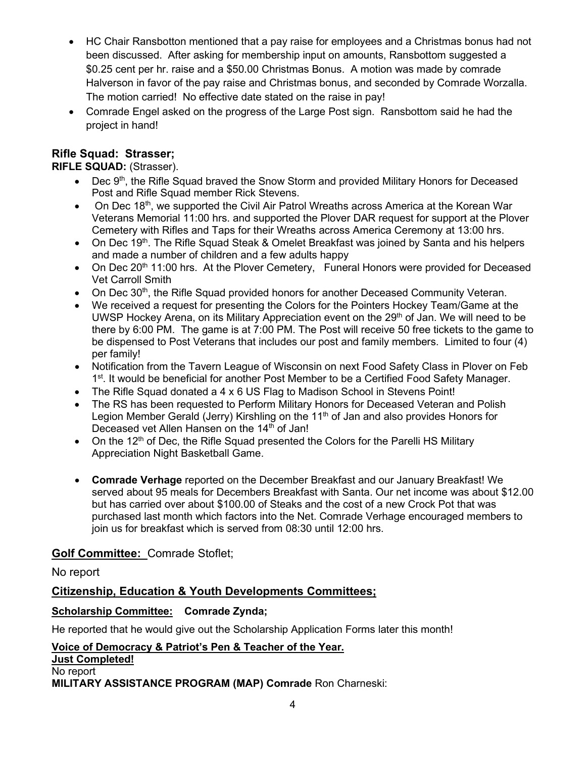- HC Chair Ransbotton mentioned that a pay raise for employees and a Christmas bonus had not been discussed. After asking for membership input on amounts, Ransbottom suggested a \$0.25 cent per hr. raise and a \$50.00 Christmas Bonus. A motion was made by comrade Halverson in favor of the pay raise and Christmas bonus, and seconded by Comrade Worzalla. The motion carried! No effective date stated on the raise in pay!
- Comrade Engel asked on the progress of the Large Post sign. Ransbottom said he had the project in hand!

### **Rifle Squad: Strasser;**

**RIFLE SQUAD:** (Strasser).

- Dec 9<sup>th</sup>, the Rifle Squad braved the Snow Storm and provided Military Honors for Deceased Post and Rifle Squad member Rick Stevens.
- On Dec  $18<sup>th</sup>$ , we supported the Civil Air Patrol Wreaths across America at the Korean War Veterans Memorial 11:00 hrs. and supported the Plover DAR request for support at the Plover Cemetery with Rifles and Taps for their Wreaths across America Ceremony at 13:00 hrs.
- On Dec 19<sup>th</sup>. The Rifle Squad Steak & Omelet Breakfast was joined by Santa and his helpers and made a number of children and a few adults happy
- On Dec 20<sup>th</sup> 11:00 hrs. At the Plover Cemetery, Funeral Honors were provided for Deceased Vet Carroll Smith
- On Dec  $30<sup>th</sup>$ , the Rifle Squad provided honors for another Deceased Community Veteran.
- We received a request for presenting the Colors for the Pointers Hockey Team/Game at the UWSP Hockey Arena, on its Military Appreciation event on the 29<sup>th</sup> of Jan. We will need to be there by 6:00 PM. The game is at 7:00 PM. The Post will receive 50 free tickets to the game to be dispensed to Post Veterans that includes our post and family members. Limited to four (4) per family!
- Notification from the Tavern League of Wisconsin on next Food Safety Class in Plover on Feb 1<sup>st</sup>. It would be beneficial for another Post Member to be a Certified Food Safety Manager.
- The Rifle Squad donated a 4 x 6 US Flag to Madison School in Stevens Point!
- The RS has been requested to Perform Military Honors for Deceased Veteran and Polish Legion Member Gerald (Jerry) Kirshling on the  $11<sup>th</sup>$  of Jan and also provides Honors for Deceased vet Allen Hansen on the 14<sup>th</sup> of Jan!
- On the 12<sup>th</sup> of Dec, the Rifle Squad presented the Colors for the Parelli HS Military Appreciation Night Basketball Game.
- **Comrade Verhage** reported on the December Breakfast and our January Breakfast! We served about 95 meals for Decembers Breakfast with Santa. Our net income was about \$12.00 but has carried over about \$100.00 of Steaks and the cost of a new Crock Pot that was purchased last month which factors into the Net. Comrade Verhage encouraged members to join us for breakfast which is served from 08:30 until 12:00 hrs.

### **Golf Committee:** Comrade Stoflet;

### No report

### **Citizenship, Education & Youth Developments Committees;**

### **Scholarship Committee: Comrade Zynda;**

He reported that he would give out the Scholarship Application Forms later this month!

**Voice of Democracy & Patriot's Pen & Teacher of the Year. Just Completed!** No report

**MILITARY ASSISTANCE PROGRAM (MAP) Comrade** Ron Charneski: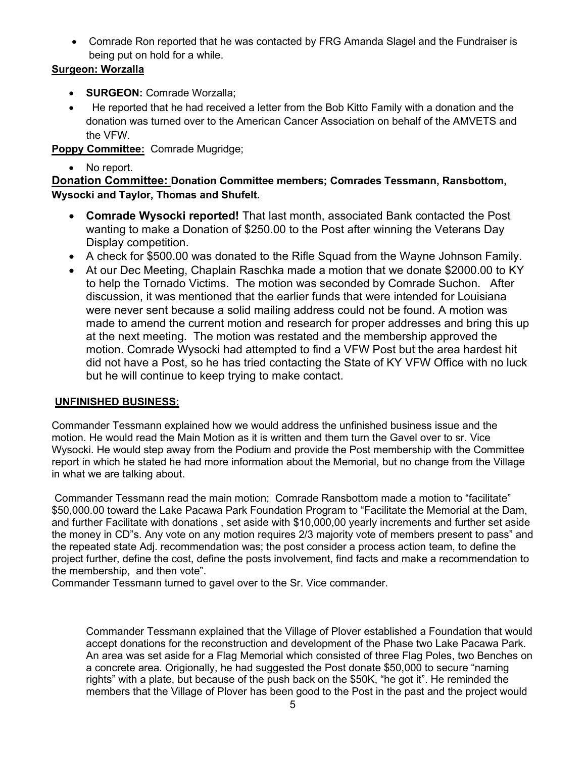• Comrade Ron reported that he was contacted by FRG Amanda Slagel and the Fundraiser is being put on hold for a while.

### **Surgeon: Worzalla**

- **SURGEON:** Comrade Worzalla;
- He reported that he had received a letter from the Bob Kitto Family with a donation and the donation was turned over to the American Cancer Association on behalf of the AMVETS and the VFW.

# **Poppy Committee:** Comrade Mugridge;

• No report.

**Donation Committee: Donation Committee members; Comrades Tessmann, Ransbottom, Wysocki and Taylor, Thomas and Shufelt.**

- **Comrade Wysocki reported!** That last month, associated Bank contacted the Post wanting to make a Donation of \$250.00 to the Post after winning the Veterans Day Display competition.
- A check for \$500.00 was donated to the Rifle Squad from the Wayne Johnson Family.
- At our Dec Meeting, Chaplain Raschka made a motion that we donate \$2000.00 to KY to help the Tornado Victims. The motion was seconded by Comrade Suchon. After discussion, it was mentioned that the earlier funds that were intended for Louisiana were never sent because a solid mailing address could not be found. A motion was made to amend the current motion and research for proper addresses and bring this up at the next meeting. The motion was restated and the membership approved the motion. Comrade Wysocki had attempted to find a VFW Post but the area hardest hit did not have a Post, so he has tried contacting the State of KY VFW Office with no luck but he will continue to keep trying to make contact.

### **UNFINISHED BUSINESS:**

Commander Tessmann explained how we would address the unfinished business issue and the motion. He would read the Main Motion as it is written and them turn the Gavel over to sr. Vice Wysocki. He would step away from the Podium and provide the Post membership with the Committee report in which he stated he had more information about the Memorial, but no change from the Village in what we are talking about.

Commander Tessmann read the main motion; Comrade Ransbottom made a motion to "facilitate" \$50,000.00 toward the Lake Pacawa Park Foundation Program to "Facilitate the Memorial at the Dam, and further Facilitate with donations , set aside with \$10,000,00 yearly increments and further set aside the money in CD"s. Any vote on any motion requires 2/3 majority vote of members present to pass" and the repeated state Adj. recommendation was; the post consider a process action team, to define the project further, define the cost, define the posts involvement, find facts and make a recommendation to the membership, and then vote".

Commander Tessmann turned to gavel over to the Sr. Vice commander.

Commander Tessmann explained that the Village of Plover established a Foundation that would accept donations for the reconstruction and development of the Phase two Lake Pacawa Park. An area was set aside for a Flag Memorial which consisted of three Flag Poles, two Benches on a concrete area. Origionally, he had suggested the Post donate \$50,000 to secure "naming rights" with a plate, but because of the push back on the \$50K, "he got it". He reminded the members that the Village of Plover has been good to the Post in the past and the project would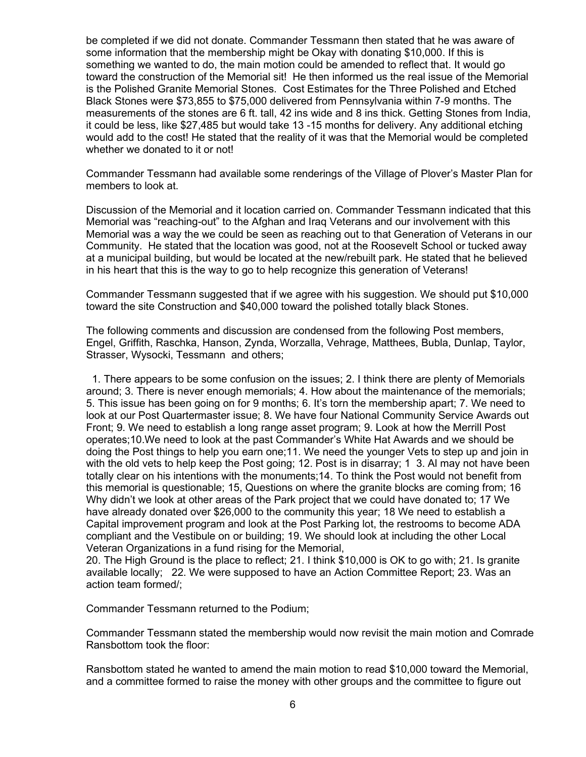be completed if we did not donate. Commander Tessmann then stated that he was aware of some information that the membership might be Okay with donating \$10,000. If this is something we wanted to do, the main motion could be amended to reflect that. It would go toward the construction of the Memorial sit! He then informed us the real issue of the Memorial is the Polished Granite Memorial Stones. Cost Estimates for the Three Polished and Etched Black Stones were \$73,855 to \$75,000 delivered from Pennsylvania within 7-9 months. The measurements of the stones are 6 ft. tall, 42 ins wide and 8 ins thick. Getting Stones from India, it could be less, like \$27,485 but would take 13 -15 months for delivery. Any additional etching would add to the cost! He stated that the reality of it was that the Memorial would be completed whether we donated to it or not!

Commander Tessmann had available some renderings of the Village of Plover's Master Plan for members to look at.

Discussion of the Memorial and it location carried on. Commander Tessmann indicated that this Memorial was "reaching-out" to the Afghan and Iraq Veterans and our involvement with this Memorial was a way the we could be seen as reaching out to that Generation of Veterans in our Community. He stated that the location was good, not at the Roosevelt School or tucked away at a municipal building, but would be located at the new/rebuilt park. He stated that he believed in his heart that this is the way to go to help recognize this generation of Veterans!

Commander Tessmann suggested that if we agree with his suggestion. We should put \$10,000 toward the site Construction and \$40,000 toward the polished totally black Stones.

The following comments and discussion are condensed from the following Post members, Engel, Griffith, Raschka, Hanson, Zynda, Worzalla, Vehrage, Matthees, Bubla, Dunlap, Taylor, Strasser, Wysocki, Tessmann and others;

 1. There appears to be some confusion on the issues; 2. I think there are plenty of Memorials around; 3. There is never enough memorials; 4. How about the maintenance of the memorials; 5. This issue has been going on for 9 months; 6. It's torn the membership apart; 7. We need to look at our Post Quartermaster issue; 8. We have four National Community Service Awards out Front; 9. We need to establish a long range asset program; 9. Look at how the Merrill Post operates;10.We need to look at the past Commander's White Hat Awards and we should be doing the Post things to help you earn one;11. We need the younger Vets to step up and join in with the old vets to help keep the Post going; 12. Post is in disarray; 1 3. Al may not have been totally clear on his intentions with the monuments;14. To think the Post would not benefit from this memorial is questionable; 15, Questions on where the granite blocks are coming from; 16 Why didn't we look at other areas of the Park project that we could have donated to; 17 We have already donated over \$26,000 to the community this year; 18 We need to establish a Capital improvement program and look at the Post Parking lot, the restrooms to become ADA compliant and the Vestibule on or building; 19. We should look at including the other Local Veteran Organizations in a fund rising for the Memorial,

20. The High Ground is the place to reflect; 21. I think \$10,000 is OK to go with; 21. Is granite available locally; 22. We were supposed to have an Action Committee Report; 23. Was an action team formed/;

Commander Tessmann returned to the Podium;

Commander Tessmann stated the membership would now revisit the main motion and Comrade Ransbottom took the floor:

Ransbottom stated he wanted to amend the main motion to read \$10,000 toward the Memorial, and a committee formed to raise the money with other groups and the committee to figure out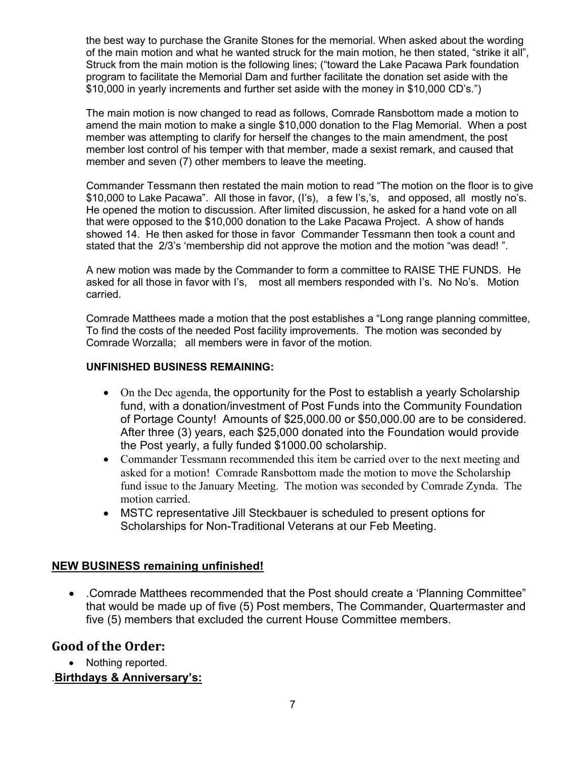the best way to purchase the Granite Stones for the memorial. When asked about the wording of the main motion and what he wanted struck for the main motion, he then stated, "strike it all", Struck from the main motion is the following lines; ("toward the Lake Pacawa Park foundation program to facilitate the Memorial Dam and further facilitate the donation set aside with the \$10,000 in yearly increments and further set aside with the money in \$10,000 CD's.")

The main motion is now changed to read as follows, Comrade Ransbottom made a motion to amend the main motion to make a single \$10,000 donation to the Flag Memorial. When a post member was attempting to clarify for herself the changes to the main amendment, the post member lost control of his temper with that member, made a sexist remark, and caused that member and seven (7) other members to leave the meeting.

Commander Tessmann then restated the main motion to read "The motion on the floor is to give \$10,000 to Lake Pacawa". All those in favor, (I's), a few I's,'s, and opposed, all mostly no's. He opened the motion to discussion. After limited discussion, he asked for a hand vote on all that were opposed to the \$10,000 donation to the Lake Pacawa Project. A show of hands showed 14. He then asked for those in favor Commander Tessmann then took a count and stated that the 2/3's 'membership did not approve the motion and the motion "was dead! ".

A new motion was made by the Commander to form a committee to RAISE THE FUNDS. He asked for all those in favor with I's, most all members responded with I's. No No's. Motion carried.

Comrade Matthees made a motion that the post establishes a "Long range planning committee, To find the costs of the needed Post facility improvements. The motion was seconded by Comrade Worzalla; all members were in favor of the motion.

#### **UNFINISHED BUSINESS REMAINING:**

- On the Dec agenda, the opportunity for the Post to establish a yearly Scholarship fund, with a donation/investment of Post Funds into the Community Foundation of Portage County! Amounts of \$25,000.00 or \$50,000.00 are to be considered. After three (3) years, each \$25,000 donated into the Foundation would provide the Post yearly, a fully funded \$1000.00 scholarship.
- Commander Tessmann recommended this item be carried over to the next meeting and asked for a motion! Comrade Ransbottom made the motion to move the Scholarship fund issue to the January Meeting. The motion was seconded by Comrade Zynda. The motion carried.
- MSTC representative Jill Steckbauer is scheduled to present options for Scholarships for Non-Traditional Veterans at our Feb Meeting.

### **NEW BUSINESS remaining unfinished!**

• .Comrade Matthees recommended that the Post should create a 'Planning Committee" that would be made up of five (5) Post members, The Commander, Quartermaster and five (5) members that excluded the current House Committee members.

### **Good of the Order:**

• Nothing reported.

### .**Birthdays & Anniversary's:**